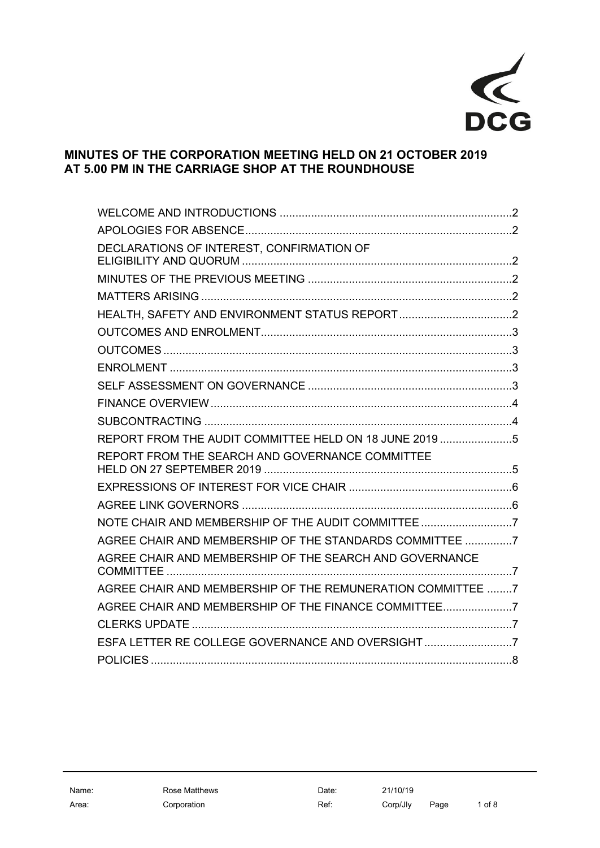

# **MINUTES OF THE CORPORATION MEETING HELD ON 21 OCTOBER 2019 AT 5.00 PM IN THE CARRIAGE SHOP AT THE ROUNDHOUSE**

| DECLARATIONS OF INTEREST, CONFIRMATION OF                  |  |
|------------------------------------------------------------|--|
|                                                            |  |
|                                                            |  |
|                                                            |  |
|                                                            |  |
|                                                            |  |
|                                                            |  |
|                                                            |  |
|                                                            |  |
|                                                            |  |
| REPORT FROM THE AUDIT COMMITTEE HELD ON 18 JUNE 2019 5     |  |
| REPORT FROM THE SEARCH AND GOVERNANCE COMMITTEE            |  |
|                                                            |  |
|                                                            |  |
| NOTE CHAIR AND MEMBERSHIP OF THE AUDIT COMMITTEE7          |  |
| AGREE CHAIR AND MEMBERSHIP OF THE STANDARDS COMMITTEE 7    |  |
| AGREE CHAIR AND MEMBERSHIP OF THE SEARCH AND GOVERNANCE    |  |
| AGREE CHAIR AND MEMBERSHIP OF THE REMUNERATION COMMITTEE 7 |  |
| AGREE CHAIR AND MEMBERSHIP OF THE FINANCE COMMITTEE7       |  |
|                                                            |  |
| ESFA LETTER RE COLLEGE GOVERNANCE AND OVERSIGHT7           |  |
|                                                            |  |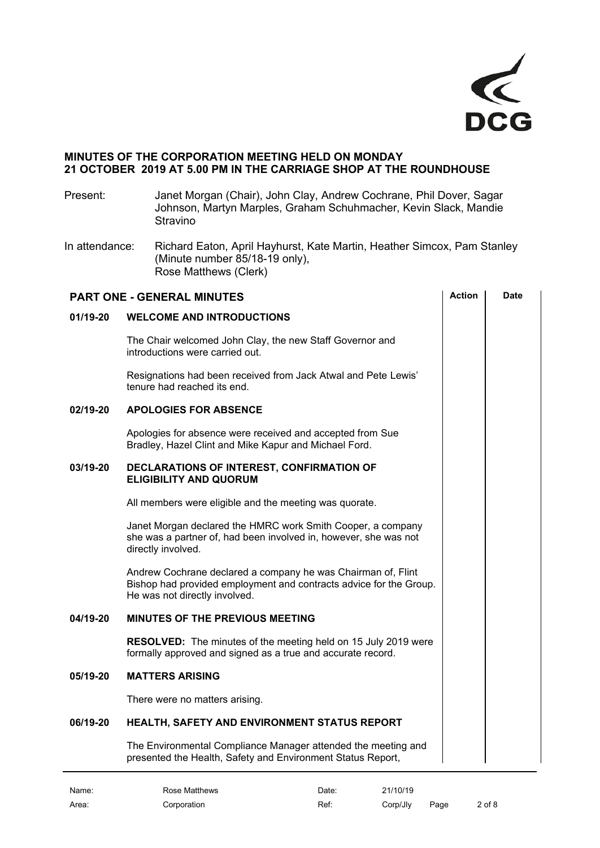

# **MINUTES OF THE CORPORATION MEETING HELD ON MONDAY 21 OCTOBER 2019 AT 5.00 PM IN THE CARRIAGE SHOP AT THE ROUNDHOUSE**

Present: Janet Morgan (Chair), John Clay, Andrew Cochrane, Phil Dover, Sagar Johnson, Martyn Marples, Graham Schuhmacher, Kevin Slack, Mandie Stravino

In attendance: Richard Eaton, April Hayhurst, Kate Martin, Heather Simcox, Pam Stanley (Minute number 85/18-19 only), Rose Matthews (Clerk)

<span id="page-1-5"></span><span id="page-1-4"></span><span id="page-1-3"></span><span id="page-1-2"></span><span id="page-1-1"></span><span id="page-1-0"></span>

| <b>PART ONE - GENERAL MINUTES</b> |                                                                                                                                                                     |  | <b>Date</b> |
|-----------------------------------|---------------------------------------------------------------------------------------------------------------------------------------------------------------------|--|-------------|
| 01/19-20                          | <b>WELCOME AND INTRODUCTIONS</b>                                                                                                                                    |  |             |
|                                   | The Chair welcomed John Clay, the new Staff Governor and<br>introductions were carried out.                                                                         |  |             |
|                                   | Resignations had been received from Jack Atwal and Pete Lewis'<br>tenure had reached its end.                                                                       |  |             |
| 02/19-20                          | <b>APOLOGIES FOR ABSENCE</b>                                                                                                                                        |  |             |
|                                   | Apologies for absence were received and accepted from Sue<br>Bradley, Hazel Clint and Mike Kapur and Michael Ford.                                                  |  |             |
| 03/19-20                          | DECLARATIONS OF INTEREST, CONFIRMATION OF<br><b>ELIGIBILITY AND QUORUM</b>                                                                                          |  |             |
|                                   | All members were eligible and the meeting was quorate.                                                                                                              |  |             |
|                                   | Janet Morgan declared the HMRC work Smith Cooper, a company<br>she was a partner of, had been involved in, however, she was not<br>directly involved.               |  |             |
|                                   | Andrew Cochrane declared a company he was Chairman of, Flint<br>Bishop had provided employment and contracts advice for the Group.<br>He was not directly involved. |  |             |
| 04/19-20                          | <b>MINUTES OF THE PREVIOUS MEETING</b>                                                                                                                              |  |             |
|                                   | <b>RESOLVED:</b> The minutes of the meeting held on 15 July 2019 were<br>formally approved and signed as a true and accurate record.                                |  |             |
| 05/19-20                          | <b>MATTERS ARISING</b>                                                                                                                                              |  |             |
|                                   | There were no matters arising.                                                                                                                                      |  |             |
| 06/19-20                          | HEALTH, SAFETY AND ENVIRONMENT STATUS REPORT                                                                                                                        |  |             |
|                                   | The Environmental Compliance Manager attended the meeting and<br>presented the Health, Safety and Environment Status Report,                                        |  |             |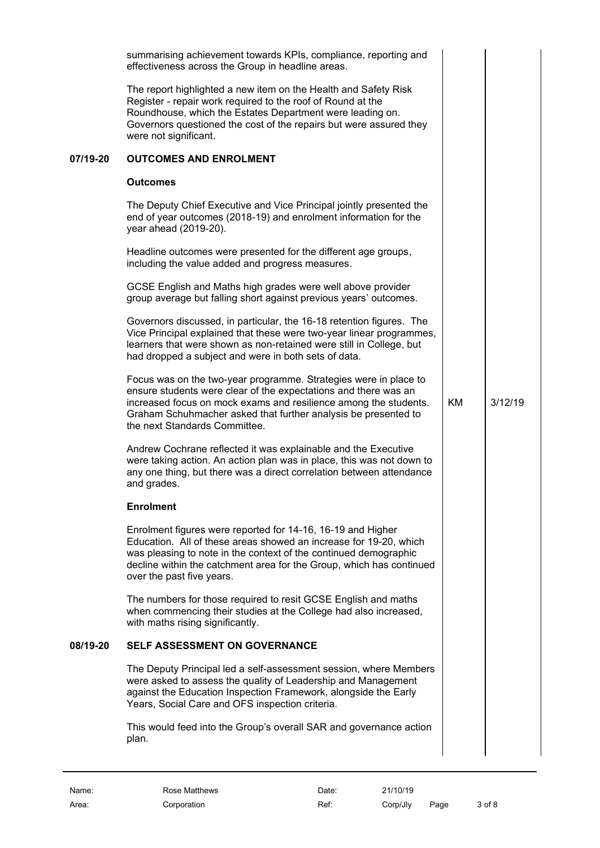<span id="page-2-3"></span><span id="page-2-2"></span><span id="page-2-1"></span><span id="page-2-0"></span>

|          | summarising achievement towards KPIs, compliance, reporting and<br>effectiveness across the Group in headline areas.                                                                                                                                                                                       |    |         |  |
|----------|------------------------------------------------------------------------------------------------------------------------------------------------------------------------------------------------------------------------------------------------------------------------------------------------------------|----|---------|--|
|          | The report highlighted a new item on the Health and Safety Risk<br>Register - repair work required to the roof of Round at the<br>Roundhouse, which the Estates Department were leading on.<br>Governors questioned the cost of the repairs but were assured they<br>were not significant.                 |    |         |  |
| 07/19-20 | <b>OUTCOMES AND ENROLMENT</b>                                                                                                                                                                                                                                                                              |    |         |  |
|          | <b>Outcomes</b>                                                                                                                                                                                                                                                                                            |    |         |  |
|          | The Deputy Chief Executive and Vice Principal jointly presented the<br>end of year outcomes (2018-19) and enrolment information for the<br>year ahead (2019-20).                                                                                                                                           |    |         |  |
|          | Headline outcomes were presented for the different age groups,<br>including the value added and progress measures.                                                                                                                                                                                         |    |         |  |
|          | GCSE English and Maths high grades were well above provider<br>group average but falling short against previous years' outcomes.                                                                                                                                                                           |    |         |  |
|          | Governors discussed, in particular, the 16-18 retention figures. The<br>Vice Principal explained that these were two-year linear programmes,<br>learners that were shown as non-retained were still in College, but<br>had dropped a subject and were in both sets of data.                                |    |         |  |
|          | Focus was on the two-year programme. Strategies were in place to<br>ensure students were clear of the expectations and there was an<br>increased focus on mock exams and resilience among the students.<br>Graham Schuhmacher asked that further analysis be presented to<br>the next Standards Committee. | KM | 3/12/19 |  |
|          | Andrew Cochrane reflected it was explainable and the Executive<br>were taking action. An action plan was in place, this was not down to<br>any one thing, but there was a direct correlation between attendance<br>and grades.                                                                             |    |         |  |
|          | <b>Enrolment</b>                                                                                                                                                                                                                                                                                           |    |         |  |
|          | Enrolment figures were reported for 14-16, 16-19 and Higher<br>Education. All of these areas showed an increase for 19-20, which<br>was pleasing to note in the context of the continued demographic<br>decline within the catchment area for the Group, which has continued<br>over the past five years.  |    |         |  |
|          | The numbers for those required to resit GCSE English and maths<br>when commencing their studies at the College had also increased,<br>with maths rising significantly.                                                                                                                                     |    |         |  |
| 08/19-20 | <b>SELF ASSESSMENT ON GOVERNANCE</b>                                                                                                                                                                                                                                                                       |    |         |  |
|          | The Deputy Principal led a self-assessment session, where Members<br>were asked to assess the quality of Leadership and Management<br>against the Education Inspection Framework, alongside the Early<br>Years, Social Care and OFS inspection criteria.                                                   |    |         |  |
|          | This would feed into the Group's overall SAR and governance action<br>plan.                                                                                                                                                                                                                                |    |         |  |
|          |                                                                                                                                                                                                                                                                                                            |    |         |  |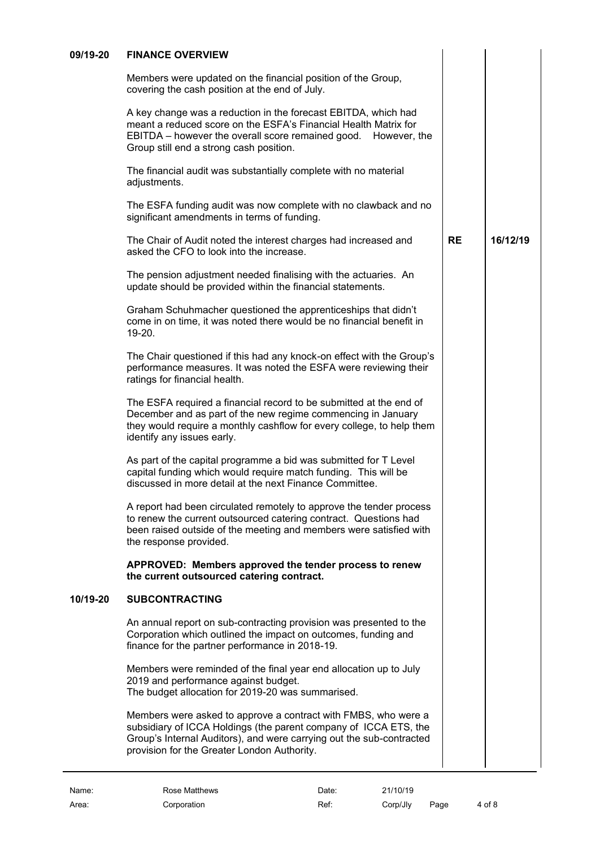| 09/19-20 | <b>FINANCE OVERVIEW</b> |
|----------|-------------------------|
|          |                         |

<span id="page-3-0"></span>Members were updated on the financial position of the Group, covering the cash position at the end of July.

A key change was a reduction in the forecast EBITDA, which had meant a reduced score on the ESFA's Financial Health Matrix for EBITDA – however the overall score remained good. However, the Group still end a strong cash position.

The financial audit was substantially complete with no material adjustments.

The ESFA funding audit was now complete with no clawback and no significant amendments in terms of funding.

The Chair of Audit noted the interest charges had increased and asked the CFO to look into the increase. **RE 16/12/19**

The pension adjustment needed finalising with the actuaries. An update should be provided within the financial statements.

Graham Schuhmacher questioned the apprenticeships that didn't come in on time, it was noted there would be no financial benefit in 19-20.

The Chair questioned if this had any knock-on effect with the Group's performance measures. It was noted the ESFA were reviewing their ratings for financial health.

The ESFA required a financial record to be submitted at the end of December and as part of the new regime commencing in January they would require a monthly cashflow for every college, to help them identify any issues early.

As part of the capital programme a bid was submitted for T Level capital funding which would require match funding. This will be discussed in more detail at the next Finance Committee.

A report had been circulated remotely to approve the tender process to renew the current outsourced catering contract. Questions had been raised outside of the meeting and members were satisfied with the response provided.

**APPROVED: Members approved the tender process to renew the current outsourced catering contract.**

# **10/19-20 SUBCONTRACTING**

<span id="page-3-1"></span>An annual report on sub-contracting provision was presented to the Corporation which outlined the impact on outcomes, funding and finance for the partner performance in 2018-19.

Members were reminded of the final year end allocation up to July 2019 and performance against budget. The budget allocation for 2019-20 was summarised.

Members were asked to approve a contract with FMBS, who were a subsidiary of ICCA Holdings (the parent company of ICCA ETS, the Group's Internal Auditors), and were carrying out the sub-contracted provision for the Greater London Authority.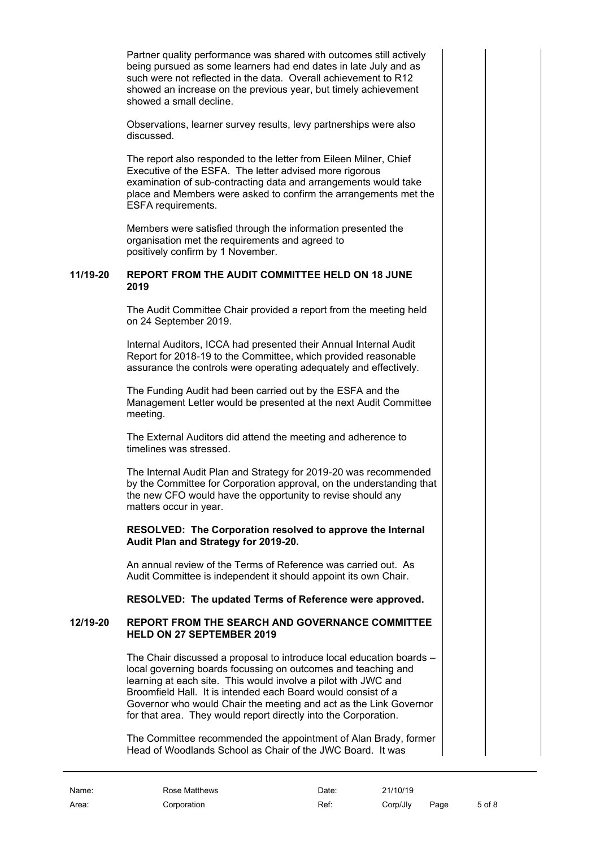Partner quality performance was shared with outcomes still actively being pursued as some learners had end dates in late July and as such were not reflected in the data. Overall achievement to R12 showed an increase on the previous year, but timely achievement showed a small decline.

Observations, learner survey results, levy partnerships were also discussed.

The report also responded to the letter from Eileen Milner, Chief Executive of the ESFA. The letter advised more rigorous examination of sub-contracting data and arrangements would take place and Members were asked to confirm the arrangements met the ESFA requirements.

Members were satisfied through the information presented the organisation met the requirements and agreed to positively confirm by 1 November.

#### **11/19-20 REPORT FROM THE AUDIT COMMITTEE HELD ON 18 JUNE 2019**

<span id="page-4-0"></span>The Audit Committee Chair provided a report from the meeting held on 24 September 2019.

Internal Auditors, ICCA had presented their Annual Internal Audit Report for 2018-19 to the Committee, which provided reasonable assurance the controls were operating adequately and effectively.

The Funding Audit had been carried out by the ESFA and the Management Letter would be presented at the next Audit Committee meeting.

The External Auditors did attend the meeting and adherence to timelines was stressed.

The Internal Audit Plan and Strategy for 2019-20 was recommended by the Committee for Corporation approval, on the understanding that the new CFO would have the opportunity to revise should any matters occur in year.

#### **RESOLVED: The Corporation resolved to approve the Internal Audit Plan and Strategy for 2019-20.**

An annual review of the Terms of Reference was carried out. As Audit Committee is independent it should appoint its own Chair.

<span id="page-4-1"></span>**RESOLVED: The updated Terms of Reference were approved.**

#### **12/19-20 REPORT FROM THE SEARCH AND GOVERNANCE COMMITTEE HELD ON 27 SEPTEMBER 2019**

The Chair discussed a proposal to introduce local education boards – local governing boards focussing on outcomes and teaching and learning at each site. This would involve a pilot with JWC and Broomfield Hall. It is intended each Board would consist of a Governor who would Chair the meeting and act as the Link Governor for that area. They would report directly into the Corporation.

The Committee recommended the appointment of Alan Brady, former Head of Woodlands School as Chair of the JWC Board. It was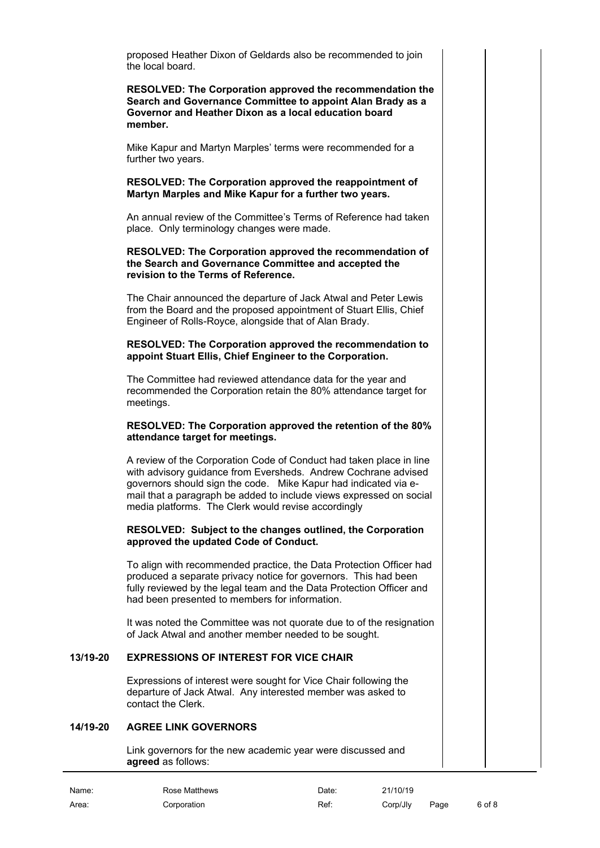proposed Heather Dixon of Geldards also be recommended to join the local board.

**RESOLVED: The Corporation approved the recommendation the Search and Governance Committee to appoint Alan Brady as a Governor and Heather Dixon as a local education board member.**

Mike Kapur and Martyn Marples' terms were recommended for a further two years.

#### **RESOLVED: The Corporation approved the reappointment of Martyn Marples and Mike Kapur for a further two years.**

An annual review of the Committee's Terms of Reference had taken place. Only terminology changes were made.

#### **RESOLVED: The Corporation approved the recommendation of the Search and Governance Committee and accepted the revision to the Terms of Reference.**

The Chair announced the departure of Jack Atwal and Peter Lewis from the Board and the proposed appointment of Stuart Ellis, Chief Engineer of Rolls-Royce, alongside that of Alan Brady.

#### **RESOLVED: The Corporation approved the recommendation to appoint Stuart Ellis, Chief Engineer to the Corporation.**

The Committee had reviewed attendance data for the year and recommended the Corporation retain the 80% attendance target for meetings.

#### **RESOLVED: The Corporation approved the retention of the 80% attendance target for meetings.**

A review of the Corporation Code of Conduct had taken place in line with advisory guidance from Eversheds. Andrew Cochrane advised governors should sign the code. Mike Kapur had indicated via email that a paragraph be added to include views expressed on social media platforms. The Clerk would revise accordingly

#### **RESOLVED: Subject to the changes outlined, the Corporation approved the updated Code of Conduct.**

To align with recommended practice, the Data Protection Officer had produced a separate privacy notice for governors. This had been fully reviewed by the legal team and the Data Protection Officer and had been presented to members for information.

It was noted the Committee was not quorate due to of the resignation of Jack Atwal and another member needed to be sought.

# **13/19-20 EXPRESSIONS OF INTEREST FOR VICE CHAIR**

<span id="page-5-0"></span>Expressions of interest were sought for Vice Chair following the departure of Jack Atwal. Any interested member was asked to contact the Clerk.

#### **14/19-20 AGREE LINK GOVERNORS**

<span id="page-5-1"></span>Link governors for the new academic year were discussed and **agreed** as follows:

| Name: | Rose Matthews | Date: | 21/10/19 |      |        |
|-------|---------------|-------|----------|------|--------|
| Area: | Corporation   | Ref:  | Corp/Jlv | Page | 6 of 8 |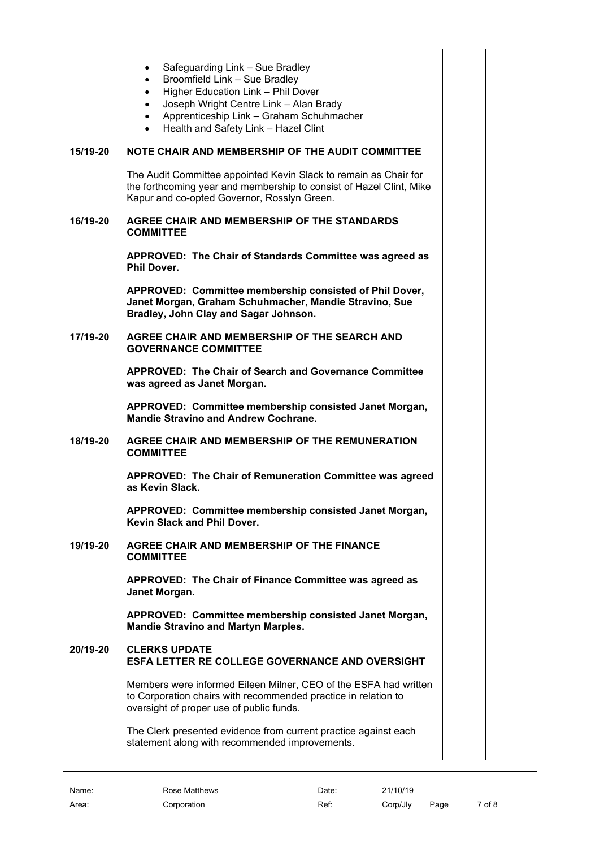- Safeguarding Link Sue Bradley
- Broomfield Link Sue Bradley
- Higher Education Link Phil Dover
- Joseph Wright Centre Link Alan Brady
- Apprenticeship Link Graham Schuhmacher
- Health and Safety Link Hazel Clint

# **15/19-20 NOTE CHAIR AND MEMBERSHIP OF THE AUDIT COMMITTEE**

<span id="page-6-0"></span>The Audit Committee appointed Kevin Slack to remain as Chair for the forthcoming year and membership to consist of Hazel Clint, Mike Kapur and co-opted Governor, Rosslyn Green.

#### **16/19-20 AGREE CHAIR AND MEMBERSHIP OF THE STANDARDS COMMITTEE**

<span id="page-6-1"></span>**APPROVED: The Chair of Standards Committee was agreed as Phil Dover.** 

**APPROVED: Committee membership consisted of Phil Dover, Janet Morgan, Graham Schuhmacher, Mandie Stravino, Sue Bradley, John Clay and Sagar Johnson.**

#### **17/19-20 AGREE CHAIR AND MEMBERSHIP OF THE SEARCH AND GOVERNANCE COMMITTEE**

<span id="page-6-2"></span>**APPROVED: The Chair of Search and Governance Committee was agreed as Janet Morgan.** 

**APPROVED: Committee membership consisted Janet Morgan, Mandie Stravino and Andrew Cochrane.**

### **18/19-20 AGREE CHAIR AND MEMBERSHIP OF THE REMUNERATION COMMITTEE**

<span id="page-6-3"></span>**APPROVED: The Chair of Remuneration Committee was agreed as Kevin Slack.** 

<span id="page-6-4"></span>**APPROVED: Committee membership consisted Janet Morgan, Kevin Slack and Phil Dover.**

**19/19-20 AGREE CHAIR AND MEMBERSHIP OF THE FINANCE COMMITTEE**

> **APPROVED: The Chair of Finance Committee was agreed as Janet Morgan.**

**APPROVED: Committee membership consisted Janet Morgan, Mandie Stravino and Martyn Marples.**

# **20/19-20 CLERKS UPDATE ESFA LETTER RE COLLEGE GOVERNANCE AND OVERSIGHT**

<span id="page-6-6"></span><span id="page-6-5"></span>Members were informed Eileen Milner, CEO of the ESFA had written to Corporation chairs with recommended practice in relation to oversight of proper use of public funds.

The Clerk presented evidence from current practice against each statement along with recommended improvements.